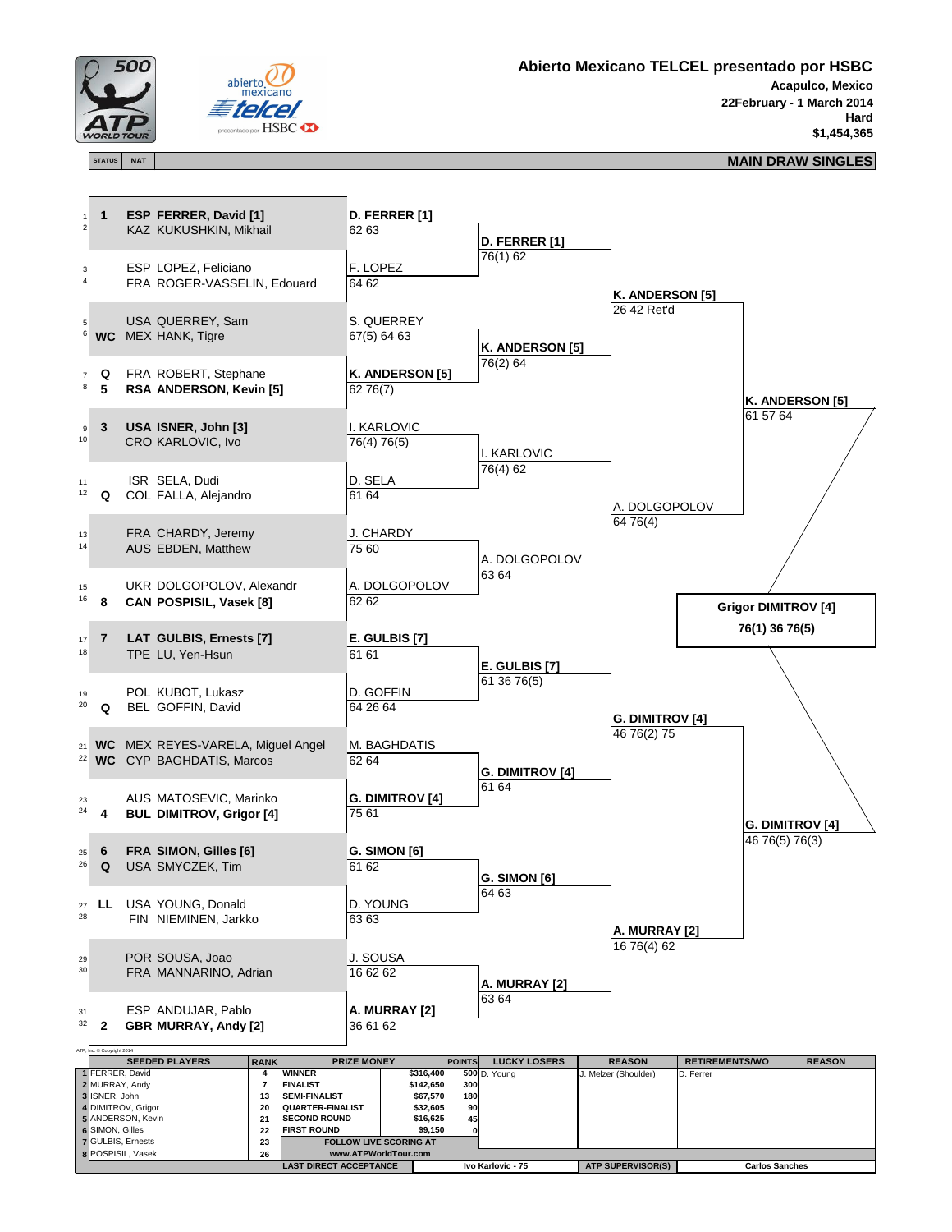



**Abierto Mexicano TELCEL presentado por HSBC**

**Acapulco, Mexico 22February - 1 March 2014 Hard \$1,454,365**

## **STATUS NAT MAIN DRAW SINGLES**

ATP, Inc. © Copyright 2014



| <b>SEEDED PLAYERS</b>    | <b>RANK</b> |                                  | <b>PRIZE MONEY</b> |                   | <b>LUCKY LOSERS</b><br><b>POINTS</b> | <b>REASON</b>            | <b>RETIREMENTS/WO</b> | <b>REASON</b> |
|--------------------------|-------------|----------------------------------|--------------------|-------------------|--------------------------------------|--------------------------|-----------------------|---------------|
| 1 FERRER, David          |             | <b>WINNER</b>                    | \$316,400          |                   | $500$ D. Young                       | J. Melzer (Shoulder)     | D. Ferrer             |               |
| 2 MURRAY, Andy           |             | <b>FINALIST</b>                  | \$142,650          | 300               |                                      |                          |                       |               |
| 3 ISNER, John            | 13          | \$67,570<br><b>SEMI-FINALIST</b> |                    |                   | 180                                  |                          |                       |               |
| 4 DIMITROV, Grigor       | 20          | <b>QUARTER-FINALIST</b>          | \$32,605           | <b>90</b>         |                                      |                          |                       |               |
| 5 ANDERSON, Kevin        | 21          | <b>ISECOND ROUND</b>             | \$16,625           | 45                |                                      |                          |                       |               |
| 6 SIMON, Gilles          | 22          | <b>FIRST ROUND</b>               | \$9,150            | ΩI                |                                      |                          |                       |               |
| 7 GULBIS, Ernests        | 23          | <b>FOLLOW LIVE SCORING AT</b>    |                    |                   |                                      |                          |                       |               |
| <b>8 POSPISIL, Vasek</b> | 26          | www.ATPWorldTour.com             |                    |                   |                                      |                          |                       |               |
|                          |             | <b>LAST DIRECT ACCEPTANCE</b>    |                    | Ivo Karlovic - 75 |                                      | <b>ATP SUPERVISOR(S)</b> | <b>Carlos Sanches</b> |               |